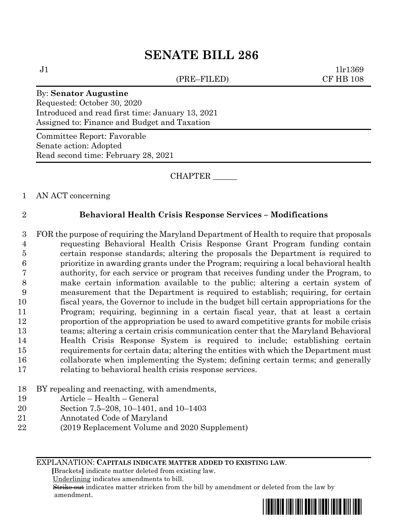# **SENATE BILL 286**

(PRE–FILED) CF HB 108

 $J1$   $1\text{l}r1369$ 

### By: **Senator Augustine**

Requested: October 30, 2020 Introduced and read first time: January 13, 2021 Assigned to: Finance and Budget and Taxation

Committee Report: Favorable Senate action: Adopted Read second time: February 28, 2021

CHAPTER \_\_\_\_\_\_

1 AN ACT concerning

## 2 **Behavioral Health Crisis Response Services – Modifications**

 FOR the purpose of requiring the Maryland Department of Health to require that proposals requesting Behavioral Health Crisis Response Grant Program funding contain certain response standards; altering the proposals the Department is required to prioritize in awarding grants under the Program; requiring a local behavioral health authority, for each service or program that receives funding under the Program, to make certain information available to the public; altering a certain system of measurement that the Department is required to establish; requiring, for certain fiscal years, the Governor to include in the budget bill certain appropriations for the Program; requiring, beginning in a certain fiscal year, that at least a certain proportion of the appropriation be used to award competitive grants for mobile crisis teams; altering a certain crisis communication center that the Maryland Behavioral Health Crisis Response System is required to include; establishing certain requirements for certain data; altering the entities with which the Department must collaborate when implementing the System; defining certain terms; and generally relating to behavioral health crisis response services.

- 18 BY repealing and reenacting, with amendments,
- 19 Article Health General
- 20 Section 7.5–208, 10–1401, and 10–1403
- 21 Annotated Code of Maryland
- 22 (2019 Replacement Volume and 2020 Supplement)

EXPLANATION: **CAPITALS INDICATE MATTER ADDED TO EXISTING LAW**.

 **[**Brackets**]** indicate matter deleted from existing law.

Underlining indicates amendments to bill.

 Strike out indicates matter stricken from the bill by amendment or deleted from the law by amendment.

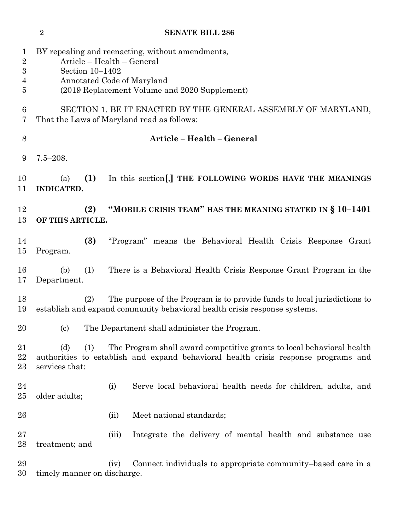|                                                                             | $\sqrt{2}$                                                                                                                                                                       | <b>SENATE BILL 286</b>                                                                                                                                      |  |  |  |  |  |  |  |
|-----------------------------------------------------------------------------|----------------------------------------------------------------------------------------------------------------------------------------------------------------------------------|-------------------------------------------------------------------------------------------------------------------------------------------------------------|--|--|--|--|--|--|--|
| $\mathbf{1}$<br>$\boldsymbol{2}$<br>$\boldsymbol{3}$<br>4<br>$\overline{5}$ | BY repealing and reenacting, without amendments,<br>Article - Health - General<br>Section 10-1402<br>Annotated Code of Maryland<br>(2019 Replacement Volume and 2020 Supplement) |                                                                                                                                                             |  |  |  |  |  |  |  |
| 6<br>7                                                                      | SECTION 1. BE IT ENACTED BY THE GENERAL ASSEMBLY OF MARYLAND,<br>That the Laws of Maryland read as follows:                                                                      |                                                                                                                                                             |  |  |  |  |  |  |  |
| 8                                                                           | Article - Health - General                                                                                                                                                       |                                                                                                                                                             |  |  |  |  |  |  |  |
| 9                                                                           | $7.5 - 208.$                                                                                                                                                                     |                                                                                                                                                             |  |  |  |  |  |  |  |
| 10<br>11                                                                    | (1)<br>(a)<br>INDICATED.                                                                                                                                                         | In this section [,] THE FOLLOWING WORDS HAVE THE MEANINGS                                                                                                   |  |  |  |  |  |  |  |
| 12<br>13                                                                    | "MOBILE CRISIS TEAM" HAS THE MEANING STATED IN § 10-1401<br>(2)<br>OF THIS ARTICLE.                                                                                              |                                                                                                                                                             |  |  |  |  |  |  |  |
| 14<br>15                                                                    | (3)<br>Program.                                                                                                                                                                  | "Program" means the Behavioral Health Crisis Response Grant                                                                                                 |  |  |  |  |  |  |  |
| 16<br>17                                                                    | (1)<br>(b)<br>Department.                                                                                                                                                        | There is a Behavioral Health Crisis Response Grant Program in the                                                                                           |  |  |  |  |  |  |  |
| 18<br>19                                                                    | The purpose of the Program is to provide funds to local jurisdictions to<br>(2)<br>establish and expand community behavioral health crisis response systems.                     |                                                                                                                                                             |  |  |  |  |  |  |  |
| 20                                                                          | The Department shall administer the Program.<br>(c)                                                                                                                              |                                                                                                                                                             |  |  |  |  |  |  |  |
| 21<br>22<br>$23\,$                                                          | (d)<br>(1)<br>services that:                                                                                                                                                     | The Program shall award competitive grants to local behavioral health<br>authorities to establish and expand behavioral health crisis response programs and |  |  |  |  |  |  |  |
| 24<br>$25\,$                                                                | older adults;                                                                                                                                                                    | Serve local behavioral health needs for children, adults, and<br>(i)                                                                                        |  |  |  |  |  |  |  |
| 26                                                                          |                                                                                                                                                                                  | Meet national standards;<br>(ii)                                                                                                                            |  |  |  |  |  |  |  |
| $27\,$<br>28                                                                | treatment; and                                                                                                                                                                   | Integrate the delivery of mental health and substance use<br>(iii)                                                                                          |  |  |  |  |  |  |  |
| 29<br>30                                                                    | timely manner on discharge.                                                                                                                                                      | Connect individuals to appropriate community-based care in a<br>(iv)                                                                                        |  |  |  |  |  |  |  |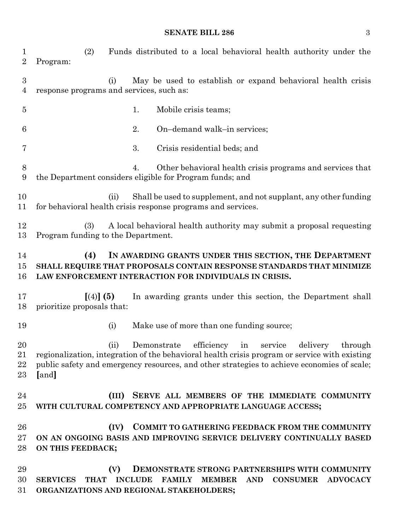### **SENATE BILL 286** 3

 (2) Funds distributed to a local behavioral health authority under the Program: (i) May be used to establish or expand behavioral health crisis response programs and services, such as: 5 1. Mobile crisis teams; 2. On–demand walk–in services; 3. Crisis residential beds; and 4. Other behavioral health crisis programs and services that the Department considers eligible for Program funds; and (ii) Shall be used to supplement, and not supplant, any other funding for behavioral health crisis response programs and services. (3) A local behavioral health authority may submit a proposal requesting Program funding to the Department. **(4) IN AWARDING GRANTS UNDER THIS SECTION, THE DEPARTMENT SHALL REQUIRE THAT PROPOSALS CONTAIN RESPONSE STANDARDS THAT MINIMIZE LAW ENFORCEMENT INTERACTION FOR INDIVIDUALS IN CRISIS. [**(4)**] (5)** In awarding grants under this section, the Department shall prioritize proposals that: 19 (i) Make use of more than one funding source; (ii) Demonstrate efficiency in service delivery through regionalization, integration of the behavioral health crisis program or service with existing public safety and emergency resources, and other strategies to achieve economies of scale; **[**and**] (III) SERVE ALL MEMBERS OF THE IMMEDIATE COMMUNITY WITH CULTURAL COMPETENCY AND APPROPRIATE LANGUAGE ACCESS; (IV) COMMIT TO GATHERING FEEDBACK FROM THE COMMUNITY ON AN ONGOING BASIS AND IMPROVING SERVICE DELIVERY CONTINUALLY BASED ON THIS FEEDBACK; (V) DEMONSTRATE STRONG PARTNERSHIPS WITH COMMUNITY SERVICES THAT INCLUDE FAMILY MEMBER AND CONSUMER ADVOCACY ORGANIZATIONS AND REGIONAL STAKEHOLDERS;**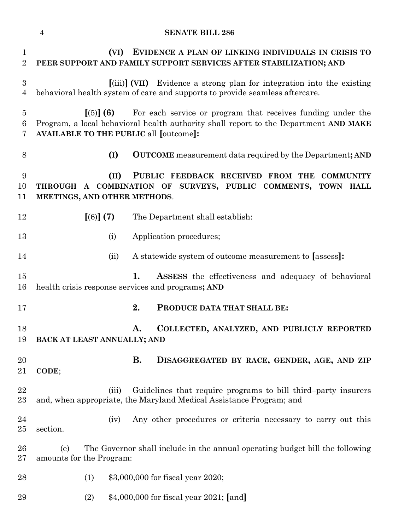# **SENATE BILL 286**

| $\mathbf{1}$<br>$\overline{2}$     | EVIDENCE A PLAN OF LINKING INDIVIDUALS IN CRISIS TO<br>(VI)<br>PEER SUPPORT AND FAMILY SUPPORT SERVICES AFTER STABILIZATION; AND                                                                                  |           |                                                                                                                                      |  |  |  |  |  |
|------------------------------------|-------------------------------------------------------------------------------------------------------------------------------------------------------------------------------------------------------------------|-----------|--------------------------------------------------------------------------------------------------------------------------------------|--|--|--|--|--|
| $\boldsymbol{3}$<br>$\overline{4}$ | [(iii)] (VII) Evidence a strong plan for integration into the existing<br>behavioral health system of care and supports to provide seamless aftercare.                                                            |           |                                                                                                                                      |  |  |  |  |  |
| $\overline{5}$<br>6<br>7           | For each service or program that receives funding under the<br>[(5)] (6)<br>Program, a local behavioral health authority shall report to the Department AND MAKE<br><b>AVAILABLE TO THE PUBLIC all [outcome]:</b> |           |                                                                                                                                      |  |  |  |  |  |
| 8                                  | (I)<br><b>OUTCOME</b> measurement data required by the Department; AND                                                                                                                                            |           |                                                                                                                                      |  |  |  |  |  |
| 9<br>10<br>11                      | PUBLIC FEEDBACK RECEIVED FROM THE COMMUNITY<br>(II)<br>THROUGH A COMBINATION OF SURVEYS, PUBLIC COMMENTS, TOWN HALL<br>MEETINGS, AND OTHER METHODS.                                                               |           |                                                                                                                                      |  |  |  |  |  |
| 12                                 | [(6)] (7)                                                                                                                                                                                                         |           | The Department shall establish:                                                                                                      |  |  |  |  |  |
| 13                                 | (i)                                                                                                                                                                                                               |           | Application procedures;                                                                                                              |  |  |  |  |  |
| 14                                 | (ii)                                                                                                                                                                                                              |           | A statewide system of outcome measurement to [assess]:                                                                               |  |  |  |  |  |
| 15<br>16                           | 1.<br><b>ASSESS</b> the effectiveness and adequacy of behavioral<br>health crisis response services and programs; AND                                                                                             |           |                                                                                                                                      |  |  |  |  |  |
| 17                                 |                                                                                                                                                                                                                   | 2.        | PRODUCE DATA THAT SHALL BE:                                                                                                          |  |  |  |  |  |
| 18<br>19                           | BACK AT LEAST ANNUALLY; AND                                                                                                                                                                                       | A.        | COLLECTED, ANALYZED, AND PUBLICLY REPORTED                                                                                           |  |  |  |  |  |
| 20<br>21                           | CODE;                                                                                                                                                                                                             | <b>B.</b> | DISAGGREGATED BY RACE, GENDER, AGE, AND ZIP                                                                                          |  |  |  |  |  |
| 22<br>$23\,$                       | (iii)                                                                                                                                                                                                             |           | Guidelines that require programs to bill third-party insurers<br>and, when appropriate, the Maryland Medical Assistance Program; and |  |  |  |  |  |
| 24<br>$25\,$                       | (iv)<br>section.                                                                                                                                                                                                  |           | Any other procedures or criteria necessary to carry out this                                                                         |  |  |  |  |  |
| $26\,$<br>$27\,$                   | The Governor shall include in the annual operating budget bill the following<br>(e)<br>amounts for the Program:                                                                                                   |           |                                                                                                                                      |  |  |  |  |  |
| 28                                 | (1)                                                                                                                                                                                                               |           | \$3,000,000 for fiscal year 2020;                                                                                                    |  |  |  |  |  |
| 29                                 | (2)                                                                                                                                                                                                               |           | $$4,000,000$ for fiscal year 2021; [and]                                                                                             |  |  |  |  |  |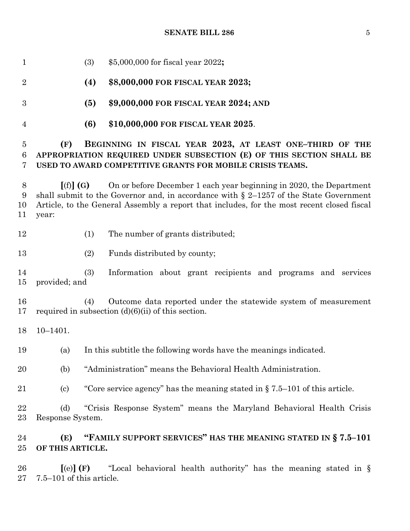| 1                                      | \$5,000,000 for fiscal year 2022;<br>(3)                                                                                                                                                                                                                                           |  |  |  |  |  |  |  |  |
|----------------------------------------|------------------------------------------------------------------------------------------------------------------------------------------------------------------------------------------------------------------------------------------------------------------------------------|--|--|--|--|--|--|--|--|
| $\overline{2}$                         | (4)<br>\$8,000,000 FOR FISCAL YEAR 2023;                                                                                                                                                                                                                                           |  |  |  |  |  |  |  |  |
| $\boldsymbol{3}$                       | (5)<br>\$9,000,000 FOR FISCAL YEAR 2024; AND                                                                                                                                                                                                                                       |  |  |  |  |  |  |  |  |
| 4                                      | (6)<br>\$10,000,000 FOR FISCAL YEAR 2025.                                                                                                                                                                                                                                          |  |  |  |  |  |  |  |  |
| $\overline{5}$<br>$6\phantom{.}6$<br>7 | (F)<br>BEGINNING IN FISCAL YEAR 2023, AT LEAST ONE-THIRD OF THE<br>APPROPRIATION REQUIRED UNDER SUBSECTION (E) OF THIS SECTION SHALL BE<br>USED TO AWARD COMPETITIVE GRANTS FOR MOBILE CRISIS TEAMS.                                                                               |  |  |  |  |  |  |  |  |
| 8<br>9<br>10<br>11                     | On or before December 1 each year beginning in 2020, the Department<br>[(f)](G)<br>shall submit to the Governor and, in accordance with $\S$ 2-1257 of the State Government<br>Article, to the General Assembly a report that includes, for the most recent closed fiscal<br>year: |  |  |  |  |  |  |  |  |
| 12                                     | (1)<br>The number of grants distributed;                                                                                                                                                                                                                                           |  |  |  |  |  |  |  |  |
| 13                                     | (2)<br>Funds distributed by county;                                                                                                                                                                                                                                                |  |  |  |  |  |  |  |  |
| 14<br>15                               | (3)<br>Information about grant recipients and programs and services<br>provided; and                                                                                                                                                                                               |  |  |  |  |  |  |  |  |
| 16<br>17                               | Outcome data reported under the statewide system of measurement<br>(4)<br>required in subsection $(d)(6)(ii)$ of this section.                                                                                                                                                     |  |  |  |  |  |  |  |  |
| 18                                     | $10 - 1401.$                                                                                                                                                                                                                                                                       |  |  |  |  |  |  |  |  |
| 19                                     | In this subtitle the following words have the meanings indicated.<br>(a)                                                                                                                                                                                                           |  |  |  |  |  |  |  |  |
| 20                                     | "Administration" means the Behavioral Health Administration.<br>(b)                                                                                                                                                                                                                |  |  |  |  |  |  |  |  |
| 21                                     | "Core service agency" has the meaning stated in $\S 7.5-101$ of this article.<br>$\left( \mathrm{c}\right)$                                                                                                                                                                        |  |  |  |  |  |  |  |  |
| $\bf{22}$<br>23                        | "Crisis Response System" means the Maryland Behavioral Health Crisis<br>(d)<br>Response System.                                                                                                                                                                                    |  |  |  |  |  |  |  |  |
| 24<br>25                               | "FAMILY SUPPORT SERVICES" HAS THE MEANING STATED IN §7.5-101<br>(E)<br>OF THIS ARTICLE.                                                                                                                                                                                            |  |  |  |  |  |  |  |  |
| 26<br>27                               | "Local behavioral health authority" has the meaning stated in §<br>$\left[$ (e) $\right]$ (F)<br>$7.5-101$ of this article.                                                                                                                                                        |  |  |  |  |  |  |  |  |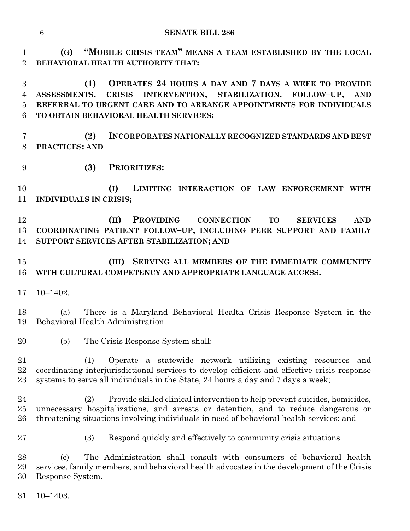**(G) "MOBILE CRISIS TEAM" MEANS A TEAM ESTABLISHED BY THE LOCAL BEHAVIORAL HEALTH AUTHORITY THAT:**

 **(1) OPERATES 24 HOURS A DAY AND 7 DAYS A WEEK TO PROVIDE ASSESSMENTS, CRISIS INTERVENTION, STABILIZATION, FOLLOW–UP, AND REFERRAL TO URGENT CARE AND TO ARRANGE APPOINTMENTS FOR INDIVIDUALS TO OBTAIN BEHAVIORAL HEALTH SERVICES;**

 **(2) INCORPORATES NATIONALLY RECOGNIZED STANDARDS AND BEST PRACTICES: AND** 

**(3) PRIORITIZES:**

 **(I) LIMITING INTERACTION OF LAW ENFORCEMENT WITH INDIVIDUALS IN CRISIS;**

 **(II) PROVIDING CONNECTION TO SERVICES AND COORDINATING PATIENT FOLLOW–UP, INCLUDING PEER SUPPORT AND FAMILY SUPPORT SERVICES AFTER STABILIZATION; AND**

# **(III) SERVING ALL MEMBERS OF THE IMMEDIATE COMMUNITY WITH CULTURAL COMPETENCY AND APPROPRIATE LANGUAGE ACCESS.**

10–1402.

 (a) There is a Maryland Behavioral Health Crisis Response System in the Behavioral Health Administration.

(b) The Crisis Response System shall:

 (1) Operate a statewide network utilizing existing resources and coordinating interjurisdictional services to develop efficient and effective crisis response systems to serve all individuals in the State, 24 hours a day and 7 days a week;

 (2) Provide skilled clinical intervention to help prevent suicides, homicides, unnecessary hospitalizations, and arrests or detention, and to reduce dangerous or threatening situations involving individuals in need of behavioral health services; and

- 
- (3) Respond quickly and effectively to community crisis situations.

 (c) The Administration shall consult with consumers of behavioral health services, family members, and behavioral health advocates in the development of the Crisis Response System.

10–1403.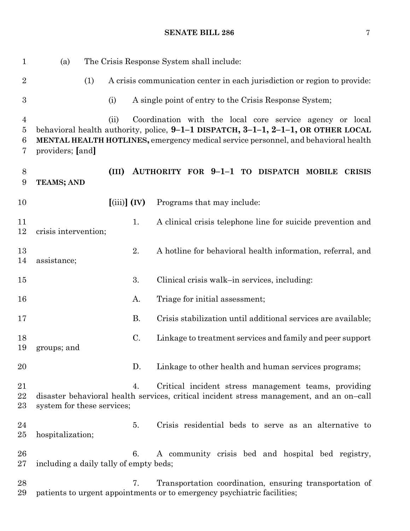# **SENATE BILL 286** 7

| $\mathbf 1$                   | The Crisis Response System shall include:<br>(a)                                                                                                                                            |                                                 |           |                                                               |  |  |  |  |  |  |               |
|-------------------------------|---------------------------------------------------------------------------------------------------------------------------------------------------------------------------------------------|-------------------------------------------------|-----------|---------------------------------------------------------------|--|--|--|--|--|--|---------------|
| $\overline{2}$                | (1)<br>A crisis communication center in each jurisdiction or region to provide:                                                                                                             |                                                 |           |                                                               |  |  |  |  |  |  |               |
| $\boldsymbol{3}$              |                                                                                                                                                                                             | (i)                                             |           | A single point of entry to the Crisis Response System;        |  |  |  |  |  |  |               |
| $\overline{4}$<br>5<br>6<br>7 | behavioral health authority, police, 9-1-1 DISPATCH, 3-1-1, 2-1-1, OR OTHER LOCAL<br>MENTAL HEALTH HOTLINES, emergency medical service personnel, and behavioral health<br>providers; [and] | (ii)                                            |           | Coordination with the local core service agency or local      |  |  |  |  |  |  |               |
| 8<br>9                        | <b>TEAMS; AND</b>                                                                                                                                                                           | (III)                                           |           | AUTHORITY FOR 9-1-1 TO DISPATCH MOBILE                        |  |  |  |  |  |  | <b>CRISIS</b> |
| 10                            |                                                                                                                                                                                             | $\left[ \left( \text{iii} \right) \right]$ (IV) |           | Programs that may include:                                    |  |  |  |  |  |  |               |
| 11<br>12                      | crisis intervention;                                                                                                                                                                        |                                                 | 1.        | A clinical crisis telephone line for suicide prevention and   |  |  |  |  |  |  |               |
| 13<br>14                      | assistance;                                                                                                                                                                                 |                                                 | 2.        | A hotline for behavioral health information, referral, and    |  |  |  |  |  |  |               |
| $15\,$                        |                                                                                                                                                                                             |                                                 | 3.        | Clinical crisis walk-in services, including:                  |  |  |  |  |  |  |               |
| 16                            |                                                                                                                                                                                             |                                                 | A.        | Triage for initial assessment;                                |  |  |  |  |  |  |               |
| 17                            |                                                                                                                                                                                             |                                                 | <b>B.</b> | Crisis stabilization until additional services are available; |  |  |  |  |  |  |               |
| 18<br>19                      | groups; and                                                                                                                                                                                 |                                                 | C.        | Linkage to treatment services and family and peer support     |  |  |  |  |  |  |               |
| 20                            |                                                                                                                                                                                             |                                                 | D.        | Linkage to other health and human services programs;          |  |  |  |  |  |  |               |
| 21<br>22<br>23                | disaster behavioral health services, critical incident stress management, and an on-call<br>system for these services;                                                                      |                                                 | 4.        | Critical incident stress management teams, providing          |  |  |  |  |  |  |               |
| 24<br>$25\,$                  | hospitalization;                                                                                                                                                                            |                                                 | 5.        | Crisis residential beds to serve as an alternative to         |  |  |  |  |  |  |               |
| 26<br>$27\,$                  | including a daily tally of empty beds;                                                                                                                                                      |                                                 | 6.        | A community crisis bed and hospital bed registry,             |  |  |  |  |  |  |               |
| $^{28}$<br>29                 | patients to urgent appointments or to emergency psychiatric facilities;                                                                                                                     |                                                 | 7.        | Transportation coordination, ensuring transportation of       |  |  |  |  |  |  |               |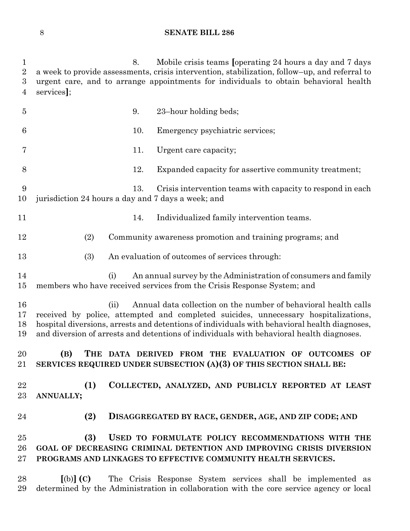### **SENATE BILL 286**

 8. Mobile crisis teams **[**operating 24 hours a day and 7 days a week to provide assessments, crisis intervention, stabilization, follow–up, and referral to urgent care, and to arrange appointments for individuals to obtain behavioral health services**]**; 9. 23–hour holding beds; 10. Emergency psychiatric services; 11. Urgent care capacity; 12. Expanded capacity for assertive community treatment; 13. Crisis intervention teams with capacity to respond in each jurisdiction 24 hours a day and 7 days a week; and 11 14. Individualized family intervention teams. (2) Community awareness promotion and training programs; and (3) An evaluation of outcomes of services through: (i) An annual survey by the Administration of consumers and family members who have received services from the Crisis Response System; and (ii) Annual data collection on the number of behavioral health calls received by police, attempted and completed suicides, unnecessary hospitalizations, hospital diversions, arrests and detentions of individuals with behavioral health diagnoses, and diversion of arrests and detentions of individuals with behavioral health diagnoses. **(B) THE DATA DERIVED FROM THE EVALUATION OF OUTCOMES OF SERVICES REQUIRED UNDER SUBSECTION (A)(3) OF THIS SECTION SHALL BE: (1) COLLECTED, ANALYZED, AND PUBLICLY REPORTED AT LEAST ANNUALLY; (2) DISAGGREGATED BY RACE, GENDER, AGE, AND ZIP CODE; AND (3) USED TO FORMULATE POLICY RECOMMENDATIONS WITH THE GOAL OF DECREASING CRIMINAL DETENTION AND IMPROVING CRISIS DIVERSION PROGRAMS AND LINKAGES TO EFFECTIVE COMMUNITY HEALTH SERVICES. [**(b)**] (C)** The Crisis Response System services shall be implemented as determined by the Administration in collaboration with the core service agency or local